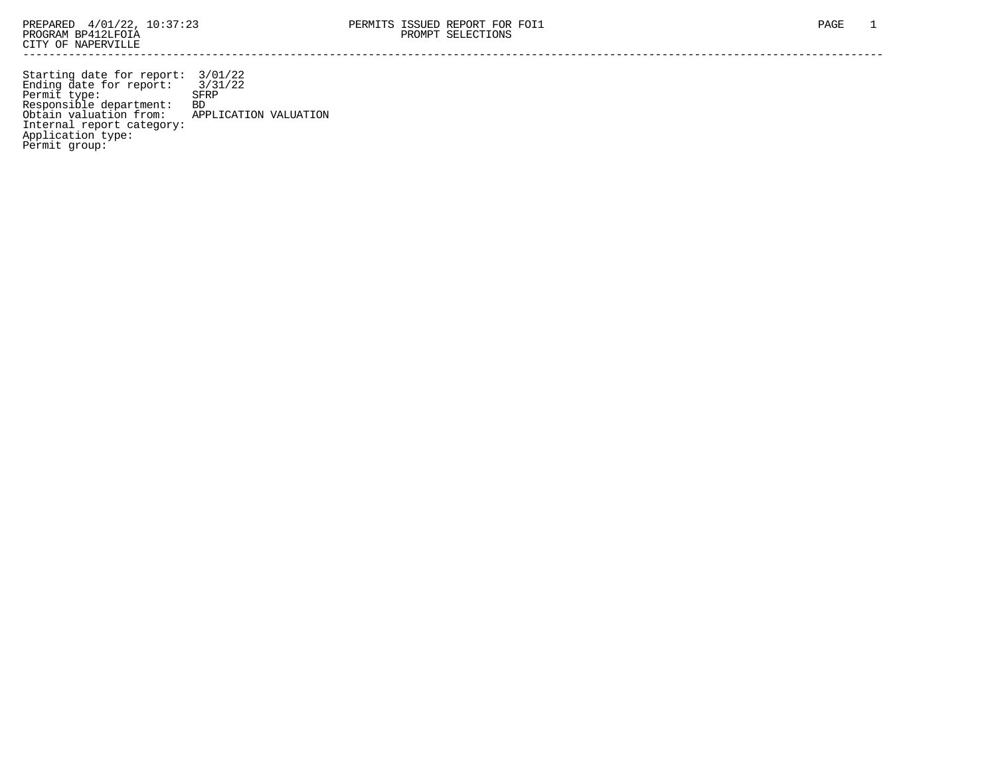Starting date for report: 3/01/22 Ending date for report: 3/31/22 Permit type: SFRP Responsible department: BD Obtain valuation from: APPLICATION VALUATION Internal report category: Application type: Permit group: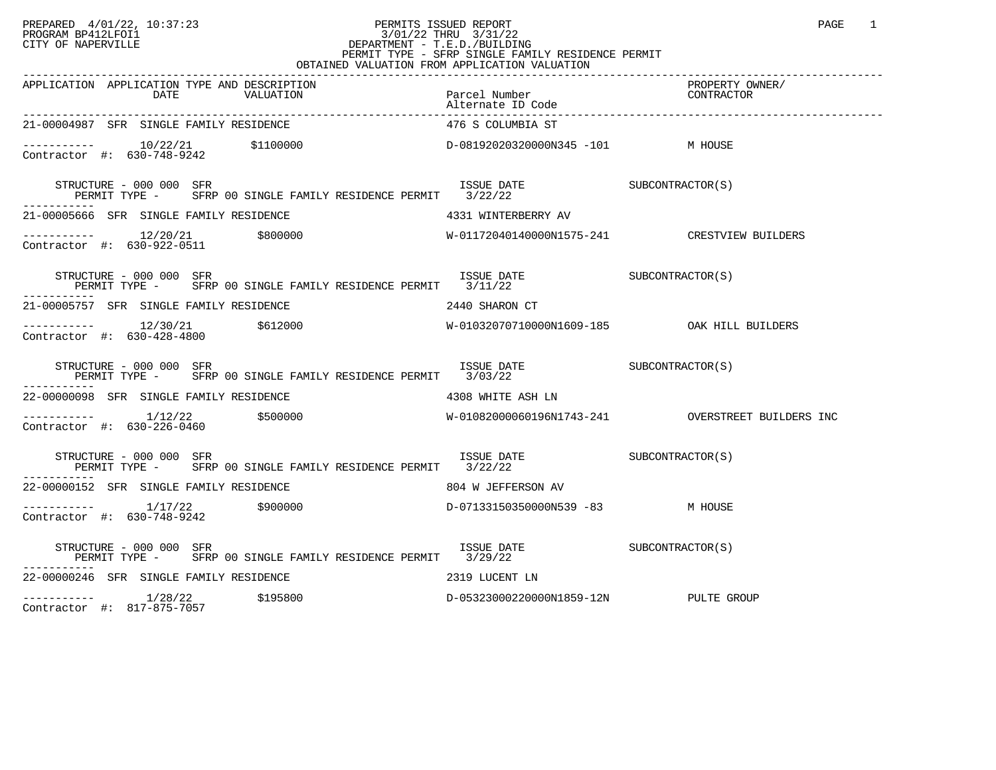### PREPARED 4/01/22, 10:37:23 PERMITS ISSUED REPORT<br>PROGRAM BP412LFOI1 PROGRAM BP412LFOI1 PROGRAM BP412LFOI1 3/01/22 THRU 3/31/22 CITY OF NAPERVILLE **Example 20** CITY OF NAPERVILLE CITY OF NAPERVILLE<br>
PERMIT TYPE - SFRP SINGLE FAMILY RESIDENCE PERMIT<br>
PERMIT TYPE - SFRP SINGLE FAMILY RESIDENCE PERMIT OBTAINED VALUATION FROM APPLICATION VALUATION

| APPLICATION APPLICATION TYPE AND DESCRIPTION                                                                                                                                                                         | Parcel Number<br>Alternate ID Code                                                         | PROPERTY OWNER/<br>PRUPERII UW<br>CONTRACTOR |
|----------------------------------------------------------------------------------------------------------------------------------------------------------------------------------------------------------------------|--------------------------------------------------------------------------------------------|----------------------------------------------|
| 21-00004987 SFR SINGLE FAMILY RESIDENCE                                                                                                                                                                              | 476 S COLUMBIA ST                                                                          |                                              |
| $\begin{array}{cccccccc} - & & & & 10/22/21 & & 100000 & & & & & \text{D}-08192020320000 \text{N}345 & -101 & & & & \text{M HOUSE} \\ \text{Contractor} & \#: & 630-748-9242 & & & & & \end{array}$                  |                                                                                            |                                              |
|                                                                                                                                                                                                                      |                                                                                            |                                              |
| 21-00005666 SFR SINGLE FAMILY RESIDENCE THE SERIES AND MUNTERBERRY AV                                                                                                                                                |                                                                                            |                                              |
| $\begin{array}{cccccccc} - & & & 12/20/21 & & 5800000 & & & & & & \text{W}-01172040140000\text{N}1575-241 & & & & & \text{CRESTVIEW BULDERS} \\ \text{Contractor} & \text{\#}: & 630-922-0511 & & & & & \end{array}$ |                                                                                            |                                              |
| ISSUE DATE SUBCONTRACTOR(S)<br>STRUCTURE - 000 000 SFR<br>PERMIT TYPE - SFRP 00 SINGLE FAMILY RESIDENCE PERMIT 3/11/22                                                                                               |                                                                                            |                                              |
| 21-00005757 SFR SINGLE FAMILY RESIDENCE THE STRAIGHT OF 2440 SHARON CT                                                                                                                                               |                                                                                            |                                              |
|                                                                                                                                                                                                                      |                                                                                            |                                              |
| STRUCTURE - 000 000 SFR<br>PERMIT TYPE - SFRP 00 SINGLE FAMILY RESIDENCE PERMIT 3/03/22                                                                                                                              | $\begin{array}{cc}\n \text{ISSUE} & \text{DATE} \\  \text{SUBCONTRACTOR(S)}\n \end{array}$ |                                              |
| 22-00000098 SFR SINGLE FAMILY RESIDENCE THE SERIES OF THE ASH LN                                                                                                                                                     |                                                                                            |                                              |
| Contractor #: 630-226-0460                                                                                                                                                                                           |                                                                                            |                                              |
| STRUCTURE - 000 000 SFR<br>PERMIT TYPE - SFRP 00 SINGLE FAMILY RESIDENCE PERMIT 3/22/22                                                                                                                              | ISSUE DATE SUBCONTRACTOR(S)                                                                |                                              |
| 22-00000152 SFR SINGLE FAMILY RESIDENCE<br>804 W JEFFERSON AV                                                                                                                                                        |                                                                                            |                                              |
| ----------  1/17/22    \$900000        D-07133150350000N539 -83    M HOUSE<br>Contractor #: 630-748-9242                                                                                                             |                                                                                            |                                              |
|                                                                                                                                                                                                                      |                                                                                            |                                              |
| 22-00000246 SFR SINGLE FAMILY RESIDENCE THE SERIES OF 2319 LUCENT LN                                                                                                                                                 |                                                                                            |                                              |
| ----------- 1/28/22 \$195800<br>Contractor #: 817-875-7057                                                                                                                                                           | D-05323000220000N1859-12N PULTE GROUP                                                      |                                              |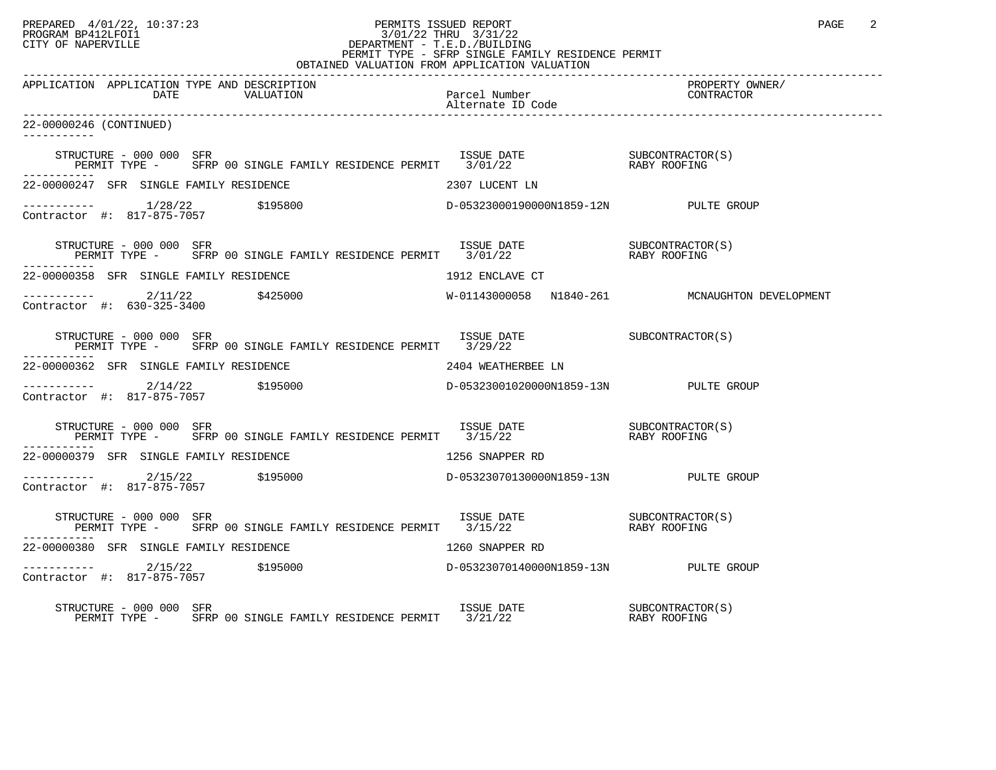### PREPARED 4/01/22, 10:37:23 PERMITS ISSUED REPORT PAGE 2<br>PROGRAM BP412LFOI1 PROGRAM PROGRAM BP412LFOI1 PROGRAM BP412LFOI1 3/01/22 THRU 3/31/22 CITY OF NAPERVILLE **Example 20** CITY OF NAPERVILLE CITY OF NAPERVILLE<br>
PERMIT TYPE - SFRP SINGLE FAMILY RESIDENCE PERMIT<br>
PERMIT TYPE - SFRP SINGLE FAMILY RESIDENCE PERMIT OBTAINED VALUATION FROM APPLICATION VALUATION

| APPLICATION APPLICATION TYPE AND DESCRIPTION |                                                                                                                                                                                                                                                                                                                                     | Parcel Number<br>Alternate ID Code | PROPERTY OWNER/<br>CONTRACTOR |
|----------------------------------------------|-------------------------------------------------------------------------------------------------------------------------------------------------------------------------------------------------------------------------------------------------------------------------------------------------------------------------------------|------------------------------------|-------------------------------|
| 22-00000246 (CONTINUED)<br>------------      |                                                                                                                                                                                                                                                                                                                                     |                                    |                               |
|                                              |                                                                                                                                                                                                                                                                                                                                     |                                    |                               |
| ------------                                 |                                                                                                                                                                                                                                                                                                                                     |                                    |                               |
| 22-00000247 SFR SINGLE FAMILY RESIDENCE      |                                                                                                                                                                                                                                                                                                                                     | 2307 LUCENT LN                     |                               |
|                                              |                                                                                                                                                                                                                                                                                                                                     |                                    |                               |
|                                              | $\begin{tabular}{lllllllll} \texttt{STRUCTURE} & 000 000 & SFR & 1SSUE & \texttt{DATE} & 000 000 & SFR \\ \texttt{PERMIT} & \texttt{TYPE} & 00 SINGLE & \texttt{FAMILY} & \texttt{RESIDENCE} & \texttt{PERMIT} & 3/01/22 & 0000 & \texttt{RABY ROOFING} \end{tabular}$                                                              |                                    |                               |
|                                              | 22-00000358 SFR SINGLE FAMILY RESIDENCE THE SERIES RESOLUTION OF THE SERIES OF THE SERIES OF THE SERIES OF TH                                                                                                                                                                                                                       |                                    |                               |
|                                              |                                                                                                                                                                                                                                                                                                                                     |                                    |                               |
|                                              | $\begin{tabular}{lllllll} \texttt{STRUCTURE} & 000 & 000 & SFR & 1SSUE & \texttt{DATE} & 00 \\ \texttt{PERMIT TYPE} & - & SFRP & 00 & SINGLE FAMILY RESIDENCE PERMIT & 3/29/22 & 0.000 & 0.000 & 0.000 & 0.000 & 0.000 & 0.000 & 0.000 & 0.000 & 0.000 & 0.000 & 0.000 & 0.000 & 0.000 & 0.000 & 0.000 & 0.000 & 0.000 & 0.000 & 0$ |                                    |                               |
|                                              |                                                                                                                                                                                                                                                                                                                                     |                                    |                               |
|                                              | 22-00000362 SFR SINGLE FAMILY RESIDENCE NAMES AND REALLY RESERVED MANUSCRIPT OF SALE AND REALLY RESERVED AT A                                                                                                                                                                                                                       |                                    |                               |
|                                              |                                                                                                                                                                                                                                                                                                                                     |                                    |                               |
|                                              | STRUCTURE – 000 000 SFR<br>PERMIT TYPE – SFRP 00 SINGLE FAMILY RESIDENCE PERMIT 3/15/22 – RABY ROOFING                                                                                                                                                                                                                              |                                    |                               |
|                                              | 22-00000379 SFR SINGLE FAMILY RESIDENCE THE SERIES OF THE STAPPER RD                                                                                                                                                                                                                                                                |                                    |                               |
|                                              | $\begin{array}{cccccccc} - & & & 2/15/22 & & 5195000 & & & & \text{D}-05323070130000\text{N}1859-13\text{N} & & & & \text{PULTE GROUP} \\ \text{Contractor & \#:} & 817-875-7057 & & & 5195000 & & & & \text{D}-05323070130000\text{N}1859-13\text{N} & & & & \text{PULTE GROUP} \end{array}$                                       |                                    |                               |
|                                              | STRUCTURE – 000 000 SFR<br>PERMIT TYPE – SFRP 00 SINGLE FAMILY RESIDENCE PERMIT 3/15/22 – RABY ROOFING                                                                                                                                                                                                                              |                                    |                               |
|                                              | 22-00000380 SFR SINGLE FAMILY RESIDENCE THE SERIES OF THE 1260 SNAPPER RD                                                                                                                                                                                                                                                           |                                    |                               |
|                                              |                                                                                                                                                                                                                                                                                                                                     |                                    |                               |
| STRUCTURE - 000 000 SFR                      | RUCTURE – 000 000 SFR<br>PERMIT TYPE – SFRP 00 SINGLE FAMILY RESIDENCE PERMIT 3/21/22 – THE RABY ROOFING                                                                                                                                                                                                                            |                                    |                               |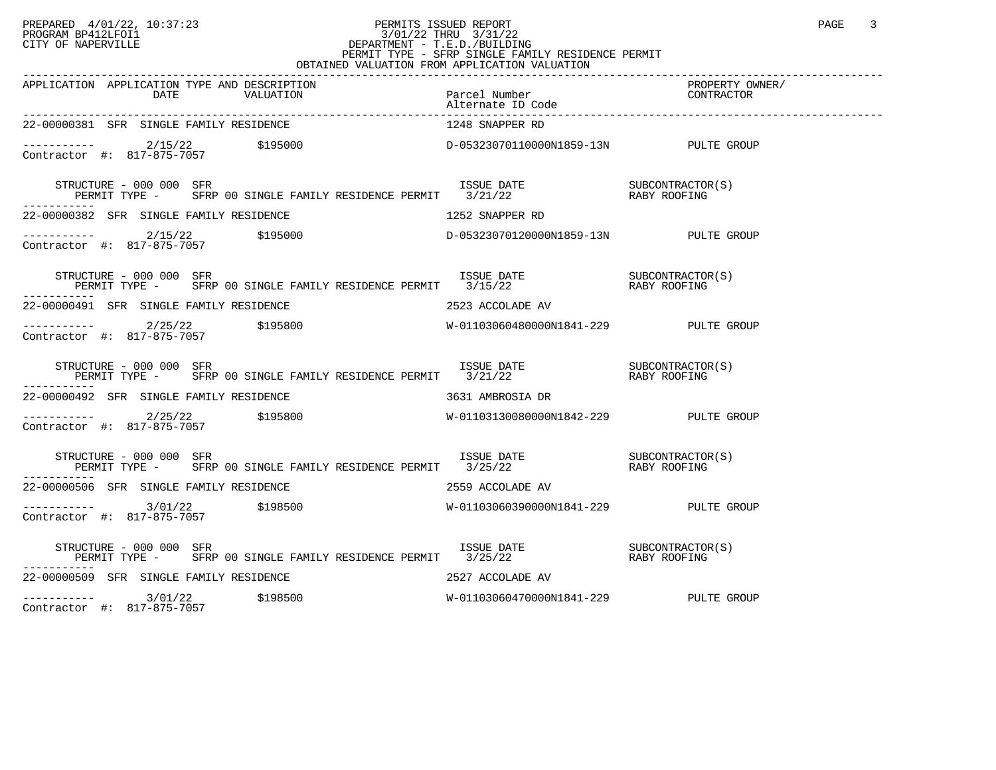### PREPARED 4/01/22, 10:37:23 PERMITS ISSUED REPORT PROGRAM BP412LFOI1 PAGE 3<br>PROGRAM BP412LFOI1 PROGRAM BP412LFOI1 3/01/22 THRU 3/31/22 CITY OF NAPERVILLE **Example 20** CITY OF NAPERVILLE CITY OF NAPERVILLE<br>
PERMIT TYPE - SFRP SINGLE FAMILY RESIDENCE PERMIT<br>
PERMIT TYPE - SFRP SINGLE FAMILY RESIDENCE PERMIT OBTAINED VALUATION FROM APPLICATION VALUATION

| APPLICATION APPLICATION TYPE AND DESCRIPTION<br>APPLICATION APPLICATION TYPE AND DESCRIPTION PERCENT PACK PACE Number PACE PROPERTY OWNER/<br>DATE VALUATION Parcel Number (2007 PACE Report of CONTRACTOR Alternate ID Code Packers of CONTRACTOR Alternate D                                                                                                                                           |                                       |  |
|----------------------------------------------------------------------------------------------------------------------------------------------------------------------------------------------------------------------------------------------------------------------------------------------------------------------------------------------------------------------------------------------------------|---------------------------------------|--|
| 22-00000381 SFR SINGLE FAMILY RESIDENCE                                                                                                                                                                                                                                                                                                                                                                  | 1248 SNAPPER RD                       |  |
| $\begin{tabular}{lclclcl} \multicolumn{2}{c}{c}{\small \texttt{2/15/22}} & & $\texttt{\$195000} & & & $\texttt{D$--05323070110000N1859--13N}$ & & & & & & \multicolumn{2}{c}{\small \texttt{PULTE} & \texttt{GROUP}}\\ \multicolumn{2}{c}{\small \texttt{Contractor}} & $\texttt{#:} & $317$--875--7057 & & $\texttt{\$195000} & & & & $\texttt{D$--05323070110000N1859--13N}$ & & & & & \multicolumn{2$ |                                       |  |
| $\begin{array}{cccc} \texttt{STRUCTURE} & - & 000 & 000 & \texttt{SFR} \\ \texttt{PERMIT TYPE} & - & \texttt{SFRP} & 00 & \texttt{SINGLE FAMILY RESIDENCE PERMIT} & 3/21/22 & \texttt{RABY ROOFING} \end{array}$                                                                                                                                                                                         |                                       |  |
| 22-00000382 SFR SINGLE FAMILY RESIDENCE                                   1252 SNAPPER RD                                                                                                                                                                                                                                                                                                                |                                       |  |
|                                                                                                                                                                                                                                                                                                                                                                                                          |                                       |  |
| STRUCTURE – 000 000 SFR<br>PERMIT TYPE – SFRP 00 SINGLE FAMILY RESIDENCE PERMIT 3/15/22 – RABY ROOFING<br>STRUCTURE - 000 000 SFR                                                                                                                                                                                                                                                                        |                                       |  |
| 22-00000491 SFR SINGLE FAMILY RESIDENCE THE SERIES OF 2523 ACCOLADE AV                                                                                                                                                                                                                                                                                                                                   |                                       |  |
|                                                                                                                                                                                                                                                                                                                                                                                                          |                                       |  |
| STRUCTURE - 000 000 SFR<br>-----------                                                                                                                                                                                                                                                                                                                                                                   |                                       |  |
| 22-00000492 SFR SINGLE FAMILY RESIDENCE                                                                                                                                                                                                                                                                                                                                                                  | 3631 AMBROSIA DR                      |  |
|                                                                                                                                                                                                                                                                                                                                                                                                          |                                       |  |
| STRUCTURE – 000 000 SFR<br>PERMIT TYPE – SFRP 00 SINGLE FAMILY RESIDENCE PERMIT 3/25/22 1 RABY ROOFING                                                                                                                                                                                                                                                                                                   |                                       |  |
| 22-00000506 SFR SINGLE FAMILY RESIDENCE NAMES AND RESOURDE AV                                                                                                                                                                                                                                                                                                                                            |                                       |  |
| Contractor #: 817-875-7057                                                                                                                                                                                                                                                                                                                                                                               |                                       |  |
| STRUCTURE - 000 000 SFR                                                                                                                                                                                                                                                                                                                                                                                  |                                       |  |
| 22-00000509 SFR SINGLE FAMILY RESIDENCE                                                                                                                                                                                                                                                                                                                                                                  | 2527 ACCOLADE AV                      |  |
| $---------$ 3/01/22 \$198500                                                                                                                                                                                                                                                                                                                                                                             | W-01103060470000N1841-229 PULTE GROUP |  |

Contractor #: 817-875-7057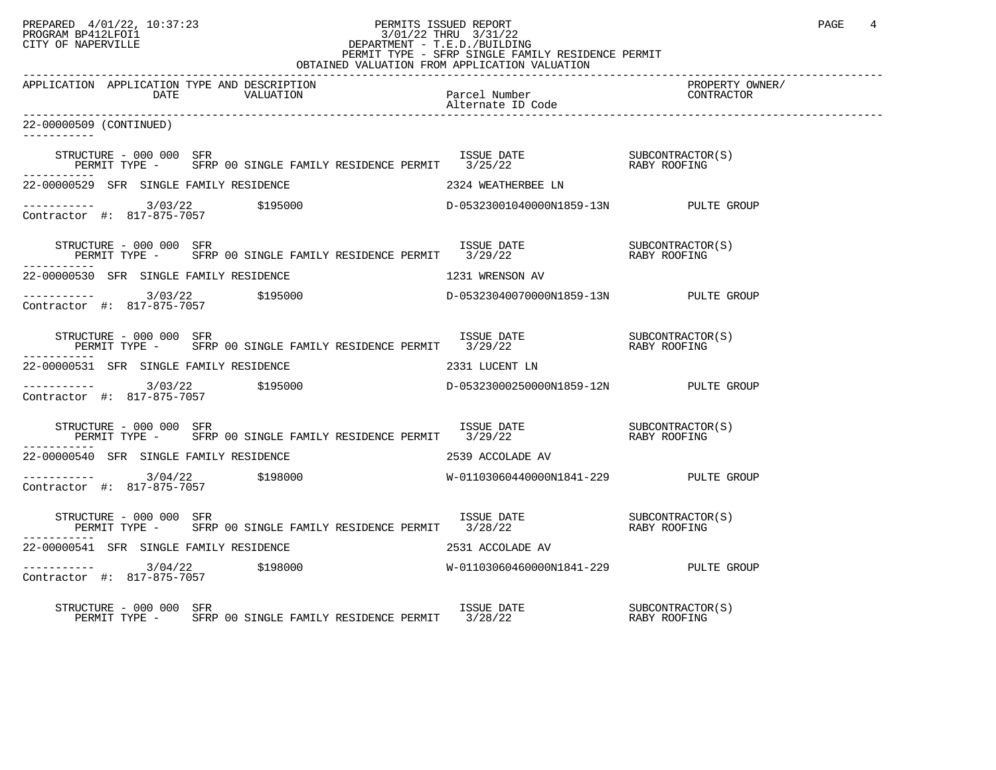# PREPARED 4/01/22, 10:37:23 PERMITS ISSUED REPORT PAGE 4<br>PROGRAM BP412LFOI1 PROGRAM BP412LFOI1 3/01/22 THRU 3/31/22 CITY OF NAPERVILLE **Example 20** CITY OF NAPERVILLE PERMIT TYPE - SFRP SINGLE FAMILY RESIDENCE PERMIT

| OBTAINED VALUATION FROM APPLICATION VALUATION                                                                                                                                                                                                                                                      |                    |                               |  |
|----------------------------------------------------------------------------------------------------------------------------------------------------------------------------------------------------------------------------------------------------------------------------------------------------|--------------------|-------------------------------|--|
| APPLICATION APPLICATION TYPE AND DESCRIPTION                                                                                                                                                                                                                                                       |                    | PROPERTY OWNER/<br>CONTRACTOR |  |
| 22-00000509 (CONTINUED)<br>-----------                                                                                                                                                                                                                                                             |                    |                               |  |
| STRUCTURE – 000 000 SFR<br>PERMIT TYPE – SFRP 00 SINGLE FAMILY RESIDENCE PERMIT 3/25/22 – RABY ROOFING                                                                                                                                                                                             |                    |                               |  |
| 22-00000529 SFR SINGLE FAMILY RESIDENCE                                                                                                                                                                                                                                                            | 2324 WEATHERBEE LN |                               |  |
| $\begin{array}{cccccccc} - & & & & & 3/03/22 & & & 5195000 & & & & & \text{D}-05323001040000 \text{N}1859-13 \text{N} & & & & & \text{PULTE GROUP} \\ \text{Contractor} & #: & 817-875-7057 & & & & & & \text{D}-05323001040000 \text{N}1859-13 \text{N} & & & & & \text{PULTE GROUP} \end{array}$ |                    |                               |  |
| STRUCTURE – 000 000 SFR<br>PERMIT TYPE – SFRP 00 SINGLE FAMILY RESIDENCE PERMIT 3/29/22 – RABY ROOFING                                                                                                                                                                                             |                    |                               |  |
| 22-00000530 SFR SINGLE FAMILY RESIDENCE                                                                                                                                                                                                                                                            | 1231 WRENSON AV    |                               |  |
|                                                                                                                                                                                                                                                                                                    |                    |                               |  |
| STRUCTURE – 000 000 SFR<br>PERMIT TYPE – SFRP 00 SINGLE FAMILY RESIDENCE PERMIT 3/29/22 – RABY ROOFING                                                                                                                                                                                             |                    |                               |  |
| 22-00000531 SFR SINGLE FAMILY RESIDENCE                                                                                                                                                                                                                                                            | 2331 LUCENT LN     |                               |  |
|                                                                                                                                                                                                                                                                                                    |                    |                               |  |
| $\begin{array}{cccc} \texttt{STRUCTURE} & - & 000 & 000 & \texttt{SFR} \\ \texttt{PERMIT} & \texttt{TYPE} & - & \texttt{SFRP} & 00 & \texttt{SINGLE FAMILY RESIDENCE PERMIT} & 3/29/22 & \texttt{RABY ROOFING} \end{array}$                                                                        |                    |                               |  |
| 22-00000540 SFR SINGLE FAMILY RESIDENCE                                                                                                                                                                                                                                                            | 2539 ACCOLADE AV   |                               |  |
|                                                                                                                                                                                                                                                                                                    |                    |                               |  |
| $\begin{array}{cccc} \texttt{STRUCTURE} & - & 000 & 000 & \texttt{SFR} \\ \texttt{PERMIT} & \texttt{TYPE} & - & \texttt{SFRP} & 00 & \texttt{SINGLE FAMILY RESIDENCE PERMIT} & 3/28/22 & \texttt{RABY ROOFING} \end{array}$                                                                        |                    |                               |  |
| 22-00000541 SFR SINGLE FAMILY RESIDENCE                                                                                                                                                                                                                                                            | 2531 ACCOLADE AV   |                               |  |
| $\begin{array}{cccccccc} - & & & & 3/04/22 & & & 5198000 & & & & & & & \text{W}-01103060460000 \text{N}1841-229 & & & & & & & \text{PULTE GROUP} \end{array}$                                                                                                                                      |                    |                               |  |
| STRUCTURE - 000 000 SFR                                                                                                                                                                                                                                                                            |                    |                               |  |